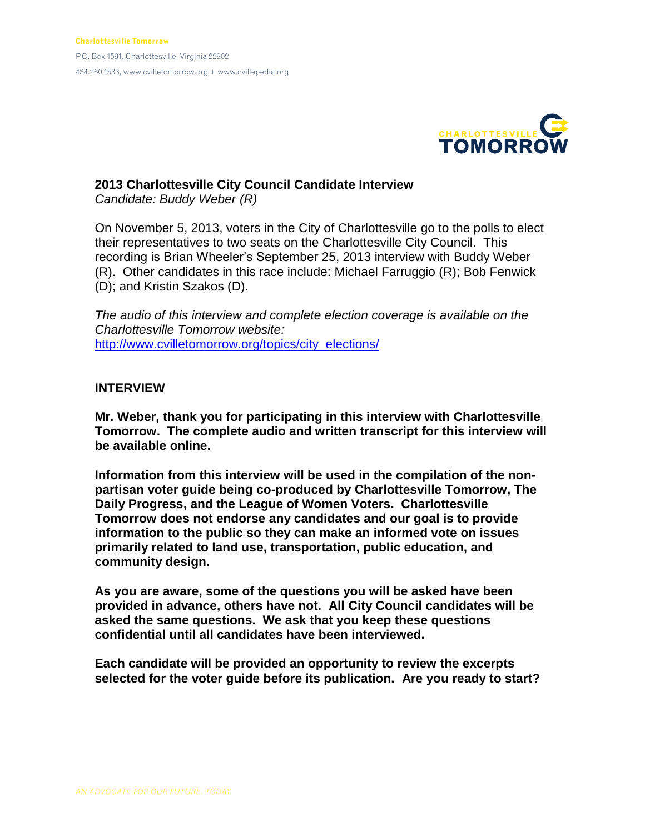

# **2013 Charlottesville City Council Candidate Interview**

*Candidate: Buddy Weber (R)* 

On November 5, 2013, voters in the City of Charlottesville go to the polls to elect their representatives to two seats on the Charlottesville City Council. This recording is Brian Wheeler's September 25, 2013 interview with Buddy Weber (R). Other candidates in this race include: Michael Farruggio (R); Bob Fenwick (D); and Kristin Szakos (D).

*The audio of this interview and complete election coverage is available on the Charlottesville Tomorrow website:*  [http://www.cvilletomorrow.org/topics/city\\_elections/](http://www.cvilletomorrow.org/topics/city_elections/)

#### **INTERVIEW**

**Mr. Weber, thank you for participating in this interview with Charlottesville Tomorrow. The complete audio and written transcript for this interview will be available online.** 

**Information from this interview will be used in the compilation of the nonpartisan voter guide being co-produced by Charlottesville Tomorrow, The Daily Progress, and the League of Women Voters. Charlottesville Tomorrow does not endorse any candidates and our goal is to provide information to the public so they can make an informed vote on issues primarily related to land use, transportation, public education, and community design.** 

**As you are aware, some of the questions you will be asked have been provided in advance, others have not. All City Council candidates will be asked the same questions. We ask that you keep these questions confidential until all candidates have been interviewed.** 

**Each candidate will be provided an opportunity to review the excerpts selected for the voter guide before its publication. Are you ready to start?**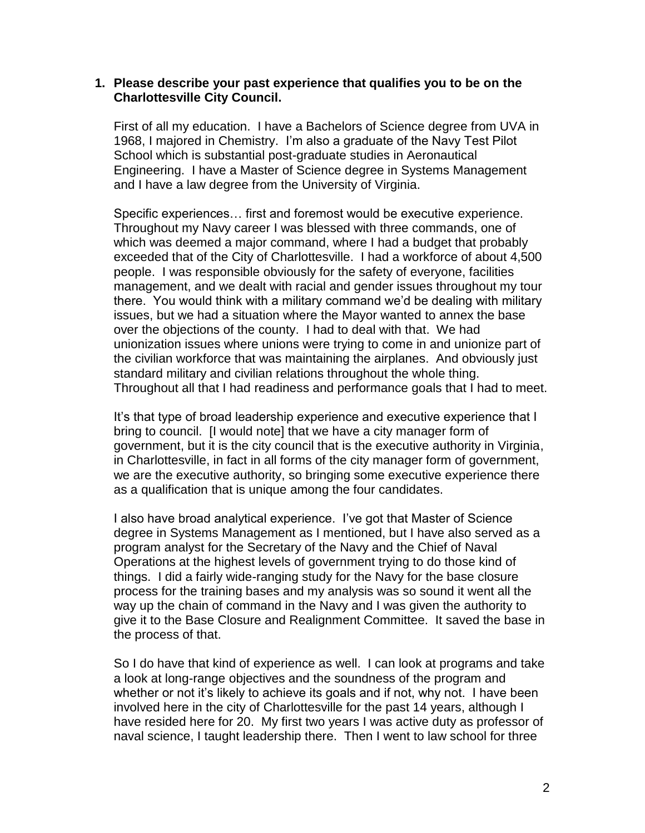### **1. Please describe your past experience that qualifies you to be on the Charlottesville City Council.**

First of all my education. I have a Bachelors of Science degree from UVA in 1968, I majored in Chemistry. I'm also a graduate of the Navy Test Pilot School which is substantial post-graduate studies in Aeronautical Engineering. I have a Master of Science degree in Systems Management and I have a law degree from the University of Virginia.

Specific experiences… first and foremost would be executive experience. Throughout my Navy career I was blessed with three commands, one of which was deemed a major command, where I had a budget that probably exceeded that of the City of Charlottesville. I had a workforce of about 4,500 people. I was responsible obviously for the safety of everyone, facilities management, and we dealt with racial and gender issues throughout my tour there. You would think with a military command we'd be dealing with military issues, but we had a situation where the Mayor wanted to annex the base over the objections of the county. I had to deal with that. We had unionization issues where unions were trying to come in and unionize part of the civilian workforce that was maintaining the airplanes. And obviously just standard military and civilian relations throughout the whole thing. Throughout all that I had readiness and performance goals that I had to meet.

It's that type of broad leadership experience and executive experience that I bring to council. [I would note] that we have a city manager form of government, but it is the city council that is the executive authority in Virginia, in Charlottesville, in fact in all forms of the city manager form of government, we are the executive authority, so bringing some executive experience there as a qualification that is unique among the four candidates.

I also have broad analytical experience. I've got that Master of Science degree in Systems Management as I mentioned, but I have also served as a program analyst for the Secretary of the Navy and the Chief of Naval Operations at the highest levels of government trying to do those kind of things. I did a fairly wide-ranging study for the Navy for the base closure process for the training bases and my analysis was so sound it went all the way up the chain of command in the Navy and I was given the authority to give it to the Base Closure and Realignment Committee. It saved the base in the process of that.

So I do have that kind of experience as well. I can look at programs and take a look at long-range objectives and the soundness of the program and whether or not it's likely to achieve its goals and if not, why not. I have been involved here in the city of Charlottesville for the past 14 years, although I have resided here for 20. My first two years I was active duty as professor of naval science, I taught leadership there. Then I went to law school for three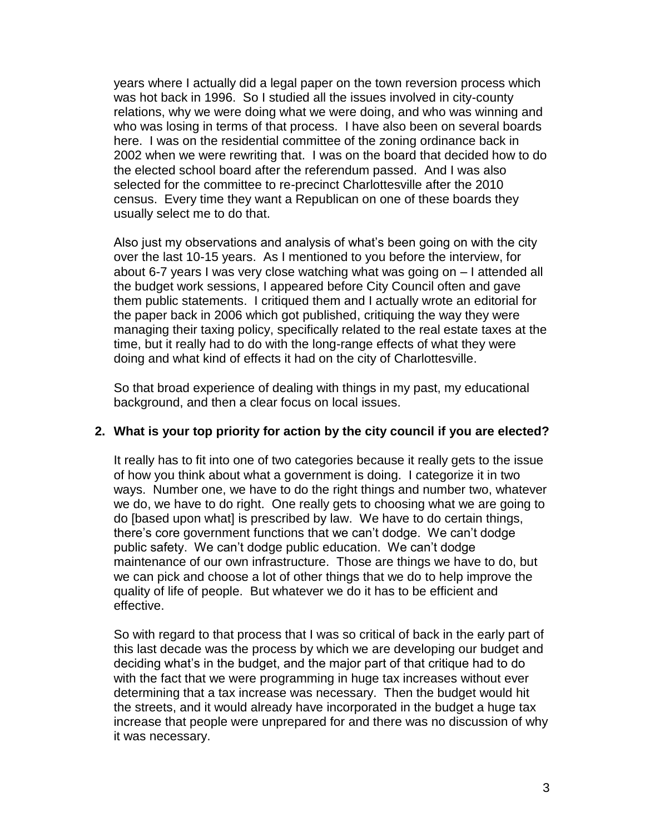years where I actually did a legal paper on the town reversion process which was hot back in 1996. So I studied all the issues involved in city-county relations, why we were doing what we were doing, and who was winning and who was losing in terms of that process. I have also been on several boards here. I was on the residential committee of the zoning ordinance back in 2002 when we were rewriting that. I was on the board that decided how to do the elected school board after the referendum passed. And I was also selected for the committee to re-precinct Charlottesville after the 2010 census. Every time they want a Republican on one of these boards they usually select me to do that.

Also just my observations and analysis of what's been going on with the city over the last 10-15 years. As I mentioned to you before the interview, for about 6-7 years I was very close watching what was going on – I attended all the budget work sessions, I appeared before City Council often and gave them public statements. I critiqued them and I actually wrote an editorial for the paper back in 2006 which got published, critiquing the way they were managing their taxing policy, specifically related to the real estate taxes at the time, but it really had to do with the long-range effects of what they were doing and what kind of effects it had on the city of Charlottesville.

So that broad experience of dealing with things in my past, my educational background, and then a clear focus on local issues.

# **2. What is your top priority for action by the city council if you are elected?**

It really has to fit into one of two categories because it really gets to the issue of how you think about what a government is doing. I categorize it in two ways. Number one, we have to do the right things and number two, whatever we do, we have to do right. One really gets to choosing what we are going to do [based upon what] is prescribed by law. We have to do certain things, there's core government functions that we can't dodge. We can't dodge public safety. We can't dodge public education. We can't dodge maintenance of our own infrastructure. Those are things we have to do, but we can pick and choose a lot of other things that we do to help improve the quality of life of people. But whatever we do it has to be efficient and effective.

So with regard to that process that I was so critical of back in the early part of this last decade was the process by which we are developing our budget and deciding what's in the budget, and the major part of that critique had to do with the fact that we were programming in huge tax increases without ever determining that a tax increase was necessary. Then the budget would hit the streets, and it would already have incorporated in the budget a huge tax increase that people were unprepared for and there was no discussion of why it was necessary.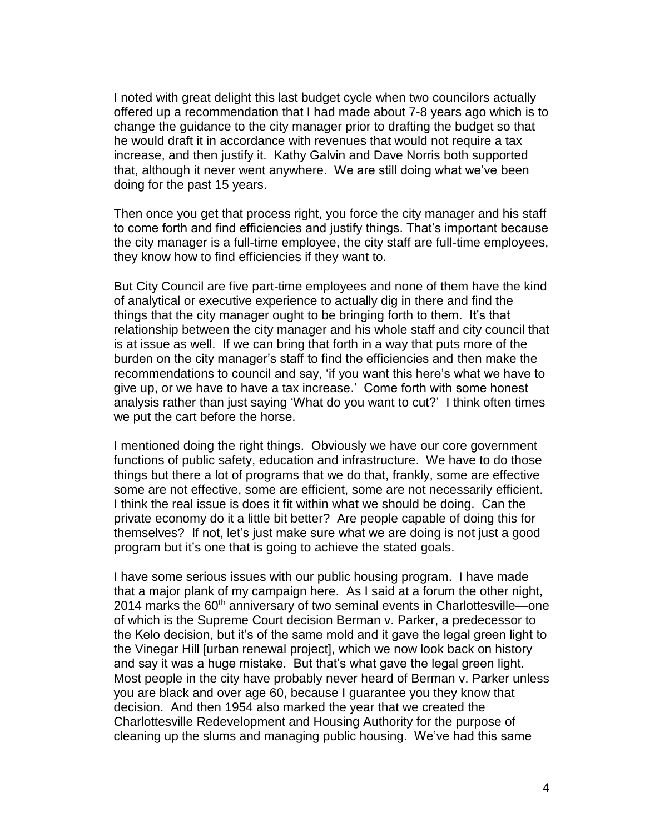I noted with great delight this last budget cycle when two councilors actually offered up a recommendation that I had made about 7-8 years ago which is to change the guidance to the city manager prior to drafting the budget so that he would draft it in accordance with revenues that would not require a tax increase, and then justify it. Kathy Galvin and Dave Norris both supported that, although it never went anywhere. We are still doing what we've been doing for the past 15 years.

Then once you get that process right, you force the city manager and his staff to come forth and find efficiencies and justify things. That's important because the city manager is a full-time employee, the city staff are full-time employees, they know how to find efficiencies if they want to.

But City Council are five part-time employees and none of them have the kind of analytical or executive experience to actually dig in there and find the things that the city manager ought to be bringing forth to them. It's that relationship between the city manager and his whole staff and city council that is at issue as well. If we can bring that forth in a way that puts more of the burden on the city manager's staff to find the efficiencies and then make the recommendations to council and say, 'if you want this here's what we have to give up, or we have to have a tax increase.' Come forth with some honest analysis rather than just saying 'What do you want to cut?' I think often times we put the cart before the horse.

I mentioned doing the right things. Obviously we have our core government functions of public safety, education and infrastructure. We have to do those things but there a lot of programs that we do that, frankly, some are effective some are not effective, some are efficient, some are not necessarily efficient. I think the real issue is does it fit within what we should be doing. Can the private economy do it a little bit better? Are people capable of doing this for themselves? If not, let's just make sure what we are doing is not just a good program but it's one that is going to achieve the stated goals.

I have some serious issues with our public housing program. I have made that a major plank of my campaign here. As I said at a forum the other night, 2014 marks the 60<sup>th</sup> anniversary of two seminal events in Charlottesville—one of which is the Supreme Court decision Berman v. Parker, a predecessor to the Kelo decision, but it's of the same mold and it gave the legal green light to the Vinegar Hill [urban renewal project], which we now look back on history and say it was a huge mistake. But that's what gave the legal green light. Most people in the city have probably never heard of Berman v. Parker unless you are black and over age 60, because I guarantee you they know that decision. And then 1954 also marked the year that we created the Charlottesville Redevelopment and Housing Authority for the purpose of cleaning up the slums and managing public housing. We've had this same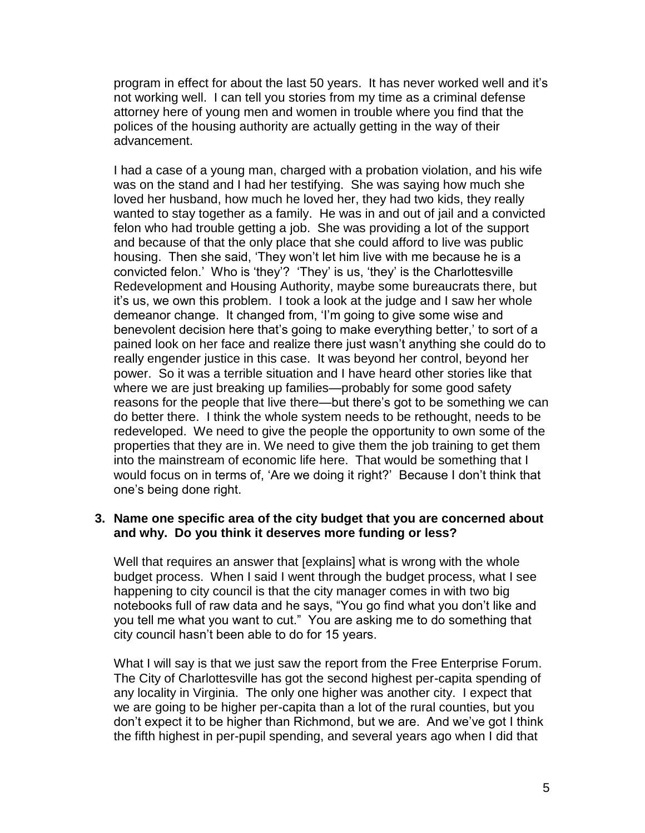program in effect for about the last 50 years. It has never worked well and it's not working well. I can tell you stories from my time as a criminal defense attorney here of young men and women in trouble where you find that the polices of the housing authority are actually getting in the way of their advancement.

I had a case of a young man, charged with a probation violation, and his wife was on the stand and I had her testifying. She was saying how much she loved her husband, how much he loved her, they had two kids, they really wanted to stay together as a family. He was in and out of jail and a convicted felon who had trouble getting a job. She was providing a lot of the support and because of that the only place that she could afford to live was public housing. Then she said, 'They won't let him live with me because he is a convicted felon.' Who is 'they'? 'They' is us, 'they' is the Charlottesville Redevelopment and Housing Authority, maybe some bureaucrats there, but it's us, we own this problem. I took a look at the judge and I saw her whole demeanor change. It changed from, 'I'm going to give some wise and benevolent decision here that's going to make everything better,' to sort of a pained look on her face and realize there just wasn't anything she could do to really engender justice in this case. It was beyond her control, beyond her power. So it was a terrible situation and I have heard other stories like that where we are just breaking up families—probably for some good safety reasons for the people that live there—but there's got to be something we can do better there. I think the whole system needs to be rethought, needs to be redeveloped. We need to give the people the opportunity to own some of the properties that they are in. We need to give them the job training to get them into the mainstream of economic life here. That would be something that I would focus on in terms of, 'Are we doing it right?' Because I don't think that one's being done right.

## **3. Name one specific area of the city budget that you are concerned about and why. Do you think it deserves more funding or less?**

Well that requires an answer that [explains] what is wrong with the whole budget process. When I said I went through the budget process, what I see happening to city council is that the city manager comes in with two big notebooks full of raw data and he says, "You go find what you don't like and you tell me what you want to cut." You are asking me to do something that city council hasn't been able to do for 15 years.

What I will say is that we just saw the report from the Free Enterprise Forum. The City of Charlottesville has got the second highest per-capita spending of any locality in Virginia. The only one higher was another city. I expect that we are going to be higher per-capita than a lot of the rural counties, but you don't expect it to be higher than Richmond, but we are. And we've got I think the fifth highest in per-pupil spending, and several years ago when I did that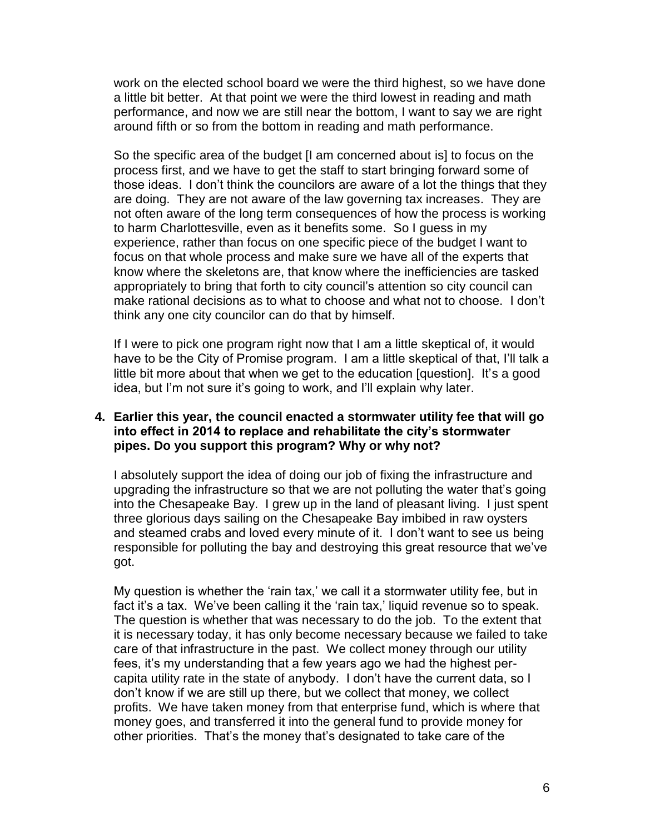work on the elected school board we were the third highest, so we have done a little bit better. At that point we were the third lowest in reading and math performance, and now we are still near the bottom, I want to say we are right around fifth or so from the bottom in reading and math performance.

So the specific area of the budget [I am concerned about is] to focus on the process first, and we have to get the staff to start bringing forward some of those ideas. I don't think the councilors are aware of a lot the things that they are doing. They are not aware of the law governing tax increases. They are not often aware of the long term consequences of how the process is working to harm Charlottesville, even as it benefits some. So I guess in my experience, rather than focus on one specific piece of the budget I want to focus on that whole process and make sure we have all of the experts that know where the skeletons are, that know where the inefficiencies are tasked appropriately to bring that forth to city council's attention so city council can make rational decisions as to what to choose and what not to choose. I don't think any one city councilor can do that by himself.

If I were to pick one program right now that I am a little skeptical of, it would have to be the City of Promise program. I am a little skeptical of that, I'll talk a little bit more about that when we get to the education [question]. It's a good idea, but I'm not sure it's going to work, and I'll explain why later.

# **4. Earlier this year, the council enacted a stormwater utility fee that will go into effect in 2014 to replace and rehabilitate the city's stormwater pipes. Do you support this program? Why or why not?**

I absolutely support the idea of doing our job of fixing the infrastructure and upgrading the infrastructure so that we are not polluting the water that's going into the Chesapeake Bay. I grew up in the land of pleasant living. I just spent three glorious days sailing on the Chesapeake Bay imbibed in raw oysters and steamed crabs and loved every minute of it. I don't want to see us being responsible for polluting the bay and destroying this great resource that we've got.

My question is whether the 'rain tax,' we call it a stormwater utility fee, but in fact it's a tax. We've been calling it the 'rain tax,' liquid revenue so to speak. The question is whether that was necessary to do the job. To the extent that it is necessary today, it has only become necessary because we failed to take care of that infrastructure in the past. We collect money through our utility fees, it's my understanding that a few years ago we had the highest percapita utility rate in the state of anybody. I don't have the current data, so I don't know if we are still up there, but we collect that money, we collect profits. We have taken money from that enterprise fund, which is where that money goes, and transferred it into the general fund to provide money for other priorities. That's the money that's designated to take care of the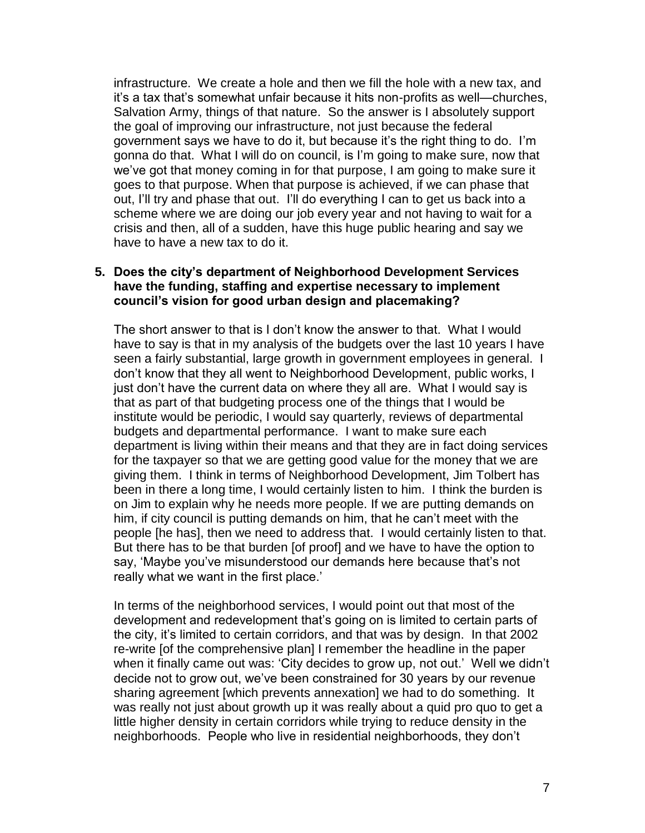infrastructure. We create a hole and then we fill the hole with a new tax, and it's a tax that's somewhat unfair because it hits non-profits as well—churches, Salvation Army, things of that nature. So the answer is I absolutely support the goal of improving our infrastructure, not just because the federal government says we have to do it, but because it's the right thing to do. I'm gonna do that. What I will do on council, is I'm going to make sure, now that we've got that money coming in for that purpose, I am going to make sure it goes to that purpose. When that purpose is achieved, if we can phase that out, I'll try and phase that out. I'll do everything I can to get us back into a scheme where we are doing our job every year and not having to wait for a crisis and then, all of a sudden, have this huge public hearing and say we have to have a new tax to do it.

## **5. Does the city's department of Neighborhood Development Services have the funding, staffing and expertise necessary to implement council's vision for good urban design and placemaking?**

The short answer to that is I don't know the answer to that. What I would have to say is that in my analysis of the budgets over the last 10 years I have seen a fairly substantial, large growth in government employees in general. I don't know that they all went to Neighborhood Development, public works, I just don't have the current data on where they all are. What I would say is that as part of that budgeting process one of the things that I would be institute would be periodic, I would say quarterly, reviews of departmental budgets and departmental performance. I want to make sure each department is living within their means and that they are in fact doing services for the taxpayer so that we are getting good value for the money that we are giving them. I think in terms of Neighborhood Development, Jim Tolbert has been in there a long time, I would certainly listen to him. I think the burden is on Jim to explain why he needs more people. If we are putting demands on him, if city council is putting demands on him, that he can't meet with the people [he has], then we need to address that. I would certainly listen to that. But there has to be that burden [of proof] and we have to have the option to say, 'Maybe you've misunderstood our demands here because that's not really what we want in the first place.'

In terms of the neighborhood services, I would point out that most of the development and redevelopment that's going on is limited to certain parts of the city, it's limited to certain corridors, and that was by design. In that 2002 re-write [of the comprehensive plan] I remember the headline in the paper when it finally came out was: 'City decides to grow up, not out.' Well we didn't decide not to grow out, we've been constrained for 30 years by our revenue sharing agreement [which prevents annexation] we had to do something. It was really not just about growth up it was really about a quid pro quo to get a little higher density in certain corridors while trying to reduce density in the neighborhoods. People who live in residential neighborhoods, they don't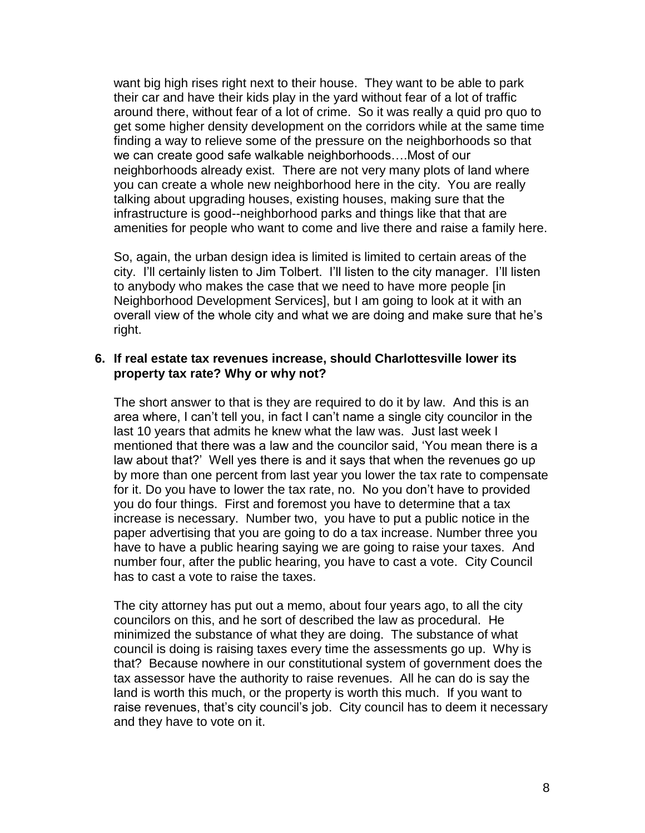want big high rises right next to their house. They want to be able to park their car and have their kids play in the yard without fear of a lot of traffic around there, without fear of a lot of crime. So it was really a quid pro quo to get some higher density development on the corridors while at the same time finding a way to relieve some of the pressure on the neighborhoods so that we can create good safe walkable neighborhoods….Most of our neighborhoods already exist. There are not very many plots of land where you can create a whole new neighborhood here in the city. You are really talking about upgrading houses, existing houses, making sure that the infrastructure is good--neighborhood parks and things like that that are amenities for people who want to come and live there and raise a family here.

So, again, the urban design idea is limited is limited to certain areas of the city. I'll certainly listen to Jim Tolbert. I'll listen to the city manager. I'll listen to anybody who makes the case that we need to have more people [in Neighborhood Development Services], but I am going to look at it with an overall view of the whole city and what we are doing and make sure that he's right.

## **6. If real estate tax revenues increase, should Charlottesville lower its property tax rate? Why or why not?**

The short answer to that is they are required to do it by law. And this is an area where, I can't tell you, in fact I can't name a single city councilor in the last 10 years that admits he knew what the law was. Just last week I mentioned that there was a law and the councilor said, 'You mean there is a law about that?' Well yes there is and it says that when the revenues go up by more than one percent from last year you lower the tax rate to compensate for it. Do you have to lower the tax rate, no. No you don't have to provided you do four things. First and foremost you have to determine that a tax increase is necessary. Number two, you have to put a public notice in the paper advertising that you are going to do a tax increase. Number three you have to have a public hearing saying we are going to raise your taxes. And number four, after the public hearing, you have to cast a vote. City Council has to cast a vote to raise the taxes.

The city attorney has put out a memo, about four years ago, to all the city councilors on this, and he sort of described the law as procedural. He minimized the substance of what they are doing. The substance of what council is doing is raising taxes every time the assessments go up. Why is that? Because nowhere in our constitutional system of government does the tax assessor have the authority to raise revenues. All he can do is say the land is worth this much, or the property is worth this much. If you want to raise revenues, that's city council's job. City council has to deem it necessary and they have to vote on it.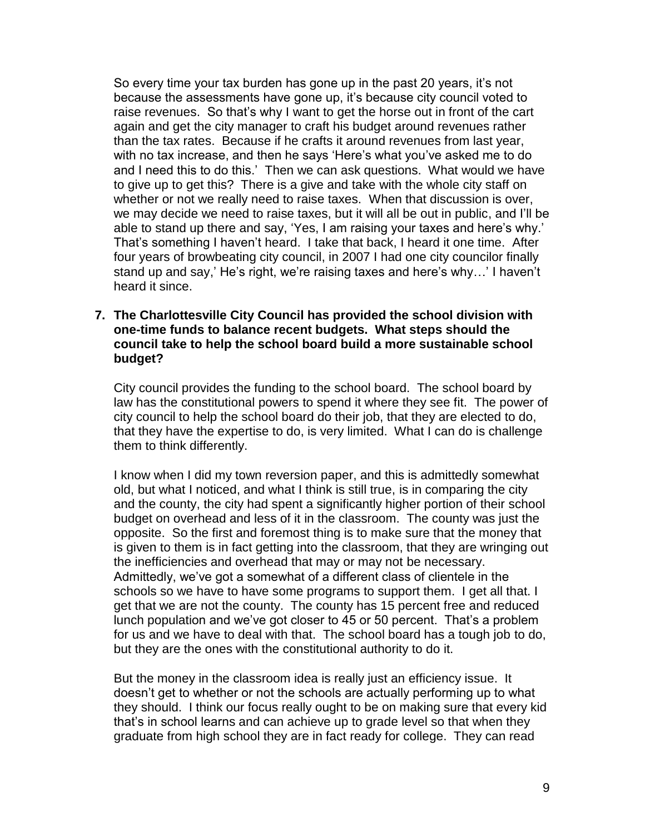So every time your tax burden has gone up in the past 20 years, it's not because the assessments have gone up, it's because city council voted to raise revenues. So that's why I want to get the horse out in front of the cart again and get the city manager to craft his budget around revenues rather than the tax rates. Because if he crafts it around revenues from last year, with no tax increase, and then he says 'Here's what you've asked me to do and I need this to do this.' Then we can ask questions. What would we have to give up to get this? There is a give and take with the whole city staff on whether or not we really need to raise taxes. When that discussion is over, we may decide we need to raise taxes, but it will all be out in public, and I'll be able to stand up there and say, 'Yes, I am raising your taxes and here's why.' That's something I haven't heard. I take that back, I heard it one time. After four years of browbeating city council, in 2007 I had one city councilor finally stand up and say,' He's right, we're raising taxes and here's why…' I haven't heard it since.

## **7. The Charlottesville City Council has provided the school division with one-time funds to balance recent budgets. What steps should the council take to help the school board build a more sustainable school budget?**

City council provides the funding to the school board. The school board by law has the constitutional powers to spend it where they see fit. The power of city council to help the school board do their job, that they are elected to do, that they have the expertise to do, is very limited. What I can do is challenge them to think differently.

I know when I did my town reversion paper, and this is admittedly somewhat old, but what I noticed, and what I think is still true, is in comparing the city and the county, the city had spent a significantly higher portion of their school budget on overhead and less of it in the classroom. The county was just the opposite. So the first and foremost thing is to make sure that the money that is given to them is in fact getting into the classroom, that they are wringing out the inefficiencies and overhead that may or may not be necessary. Admittedly, we've got a somewhat of a different class of clientele in the schools so we have to have some programs to support them. I get all that. I get that we are not the county. The county has 15 percent free and reduced lunch population and we've got closer to 45 or 50 percent. That's a problem for us and we have to deal with that. The school board has a tough job to do, but they are the ones with the constitutional authority to do it.

But the money in the classroom idea is really just an efficiency issue. It doesn't get to whether or not the schools are actually performing up to what they should. I think our focus really ought to be on making sure that every kid that's in school learns and can achieve up to grade level so that when they graduate from high school they are in fact ready for college. They can read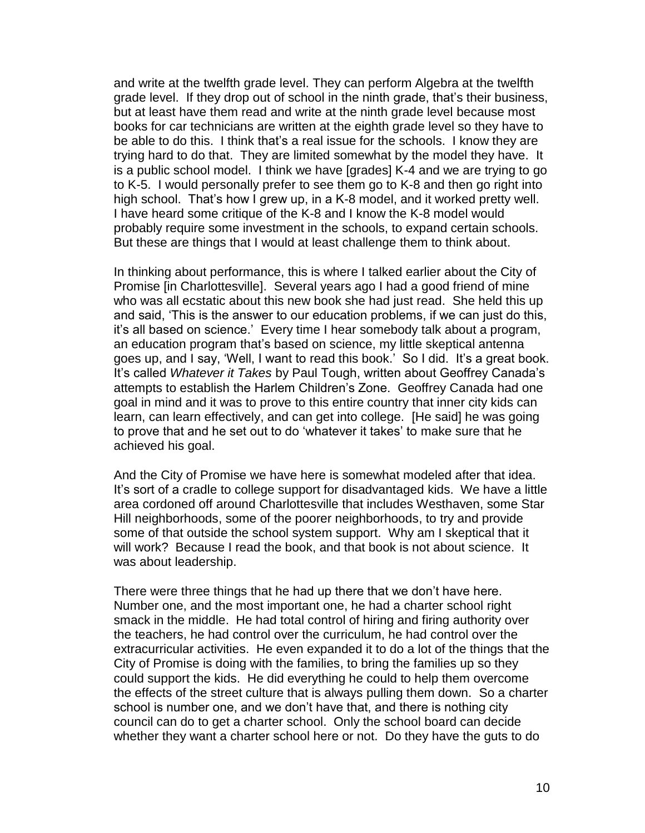and write at the twelfth grade level. They can perform Algebra at the twelfth grade level. If they drop out of school in the ninth grade, that's their business, but at least have them read and write at the ninth grade level because most books for car technicians are written at the eighth grade level so they have to be able to do this. I think that's a real issue for the schools. I know they are trying hard to do that. They are limited somewhat by the model they have. It is a public school model. I think we have [grades] K-4 and we are trying to go to K-5. I would personally prefer to see them go to K-8 and then go right into high school. That's how I grew up, in a K-8 model, and it worked pretty well. I have heard some critique of the K-8 and I know the K-8 model would probably require some investment in the schools, to expand certain schools. But these are things that I would at least challenge them to think about.

In thinking about performance, this is where I talked earlier about the City of Promise [in Charlottesville]. Several years ago I had a good friend of mine who was all ecstatic about this new book she had just read. She held this up and said, 'This is the answer to our education problems, if we can just do this, it's all based on science.' Every time I hear somebody talk about a program, an education program that's based on science, my little skeptical antenna goes up, and I say, 'Well, I want to read this book.' So I did. It's a great book. It's called *Whatever it Takes* by Paul Tough, written about Geoffrey Canada's attempts to establish the Harlem Children's Zone. Geoffrey Canada had one goal in mind and it was to prove to this entire country that inner city kids can learn, can learn effectively, and can get into college. [He said] he was going to prove that and he set out to do 'whatever it takes' to make sure that he achieved his goal.

And the City of Promise we have here is somewhat modeled after that idea. It's sort of a cradle to college support for disadvantaged kids. We have a little area cordoned off around Charlottesville that includes Westhaven, some Star Hill neighborhoods, some of the poorer neighborhoods, to try and provide some of that outside the school system support. Why am I skeptical that it will work? Because I read the book, and that book is not about science. It was about leadership.

There were three things that he had up there that we don't have here. Number one, and the most important one, he had a charter school right smack in the middle. He had total control of hiring and firing authority over the teachers, he had control over the curriculum, he had control over the extracurricular activities. He even expanded it to do a lot of the things that the City of Promise is doing with the families, to bring the families up so they could support the kids. He did everything he could to help them overcome the effects of the street culture that is always pulling them down. So a charter school is number one, and we don't have that, and there is nothing city council can do to get a charter school. Only the school board can decide whether they want a charter school here or not. Do they have the guts to do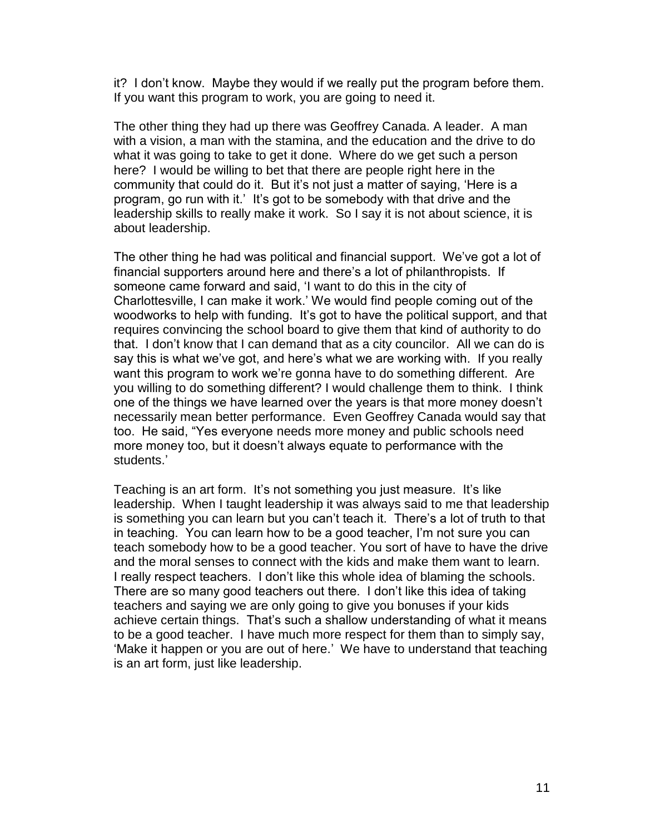it? I don't know. Maybe they would if we really put the program before them. If you want this program to work, you are going to need it.

The other thing they had up there was Geoffrey Canada. A leader. A man with a vision, a man with the stamina, and the education and the drive to do what it was going to take to get it done. Where do we get such a person here? I would be willing to bet that there are people right here in the community that could do it. But it's not just a matter of saying, 'Here is a program, go run with it.' It's got to be somebody with that drive and the leadership skills to really make it work. So I say it is not about science, it is about leadership.

The other thing he had was political and financial support. We've got a lot of financial supporters around here and there's a lot of philanthropists. If someone came forward and said, 'I want to do this in the city of Charlottesville, I can make it work.' We would find people coming out of the woodworks to help with funding. It's got to have the political support, and that requires convincing the school board to give them that kind of authority to do that. I don't know that I can demand that as a city councilor. All we can do is say this is what we've got, and here's what we are working with. If you really want this program to work we're gonna have to do something different. Are you willing to do something different? I would challenge them to think. I think one of the things we have learned over the years is that more money doesn't necessarily mean better performance. Even Geoffrey Canada would say that too. He said, "Yes everyone needs more money and public schools need more money too, but it doesn't always equate to performance with the students.'

Teaching is an art form. It's not something you just measure. It's like leadership. When I taught leadership it was always said to me that leadership is something you can learn but you can't teach it. There's a lot of truth to that in teaching. You can learn how to be a good teacher, I'm not sure you can teach somebody how to be a good teacher. You sort of have to have the drive and the moral senses to connect with the kids and make them want to learn. I really respect teachers. I don't like this whole idea of blaming the schools. There are so many good teachers out there. I don't like this idea of taking teachers and saying we are only going to give you bonuses if your kids achieve certain things. That's such a shallow understanding of what it means to be a good teacher. I have much more respect for them than to simply say, 'Make it happen or you are out of here.' We have to understand that teaching is an art form, just like leadership.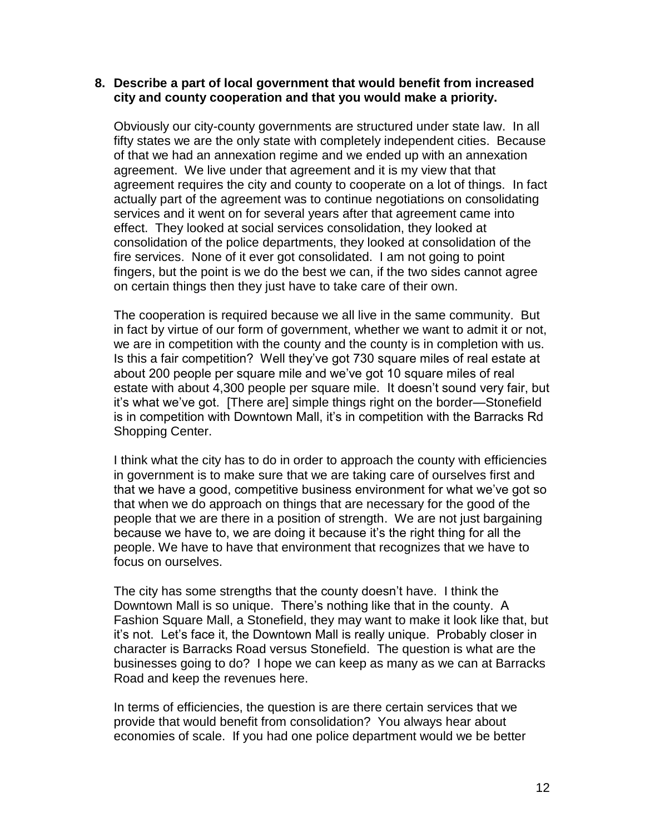### **8. Describe a part of local government that would benefit from increased city and county cooperation and that you would make a priority.**

Obviously our city-county governments are structured under state law. In all fifty states we are the only state with completely independent cities. Because of that we had an annexation regime and we ended up with an annexation agreement. We live under that agreement and it is my view that that agreement requires the city and county to cooperate on a lot of things. In fact actually part of the agreement was to continue negotiations on consolidating services and it went on for several years after that agreement came into effect. They looked at social services consolidation, they looked at consolidation of the police departments, they looked at consolidation of the fire services. None of it ever got consolidated. I am not going to point fingers, but the point is we do the best we can, if the two sides cannot agree on certain things then they just have to take care of their own.

The cooperation is required because we all live in the same community. But in fact by virtue of our form of government, whether we want to admit it or not, we are in competition with the county and the county is in completion with us. Is this a fair competition? Well they've got 730 square miles of real estate at about 200 people per square mile and we've got 10 square miles of real estate with about 4,300 people per square mile. It doesn't sound very fair, but it's what we've got. [There are] simple things right on the border—Stonefield is in competition with Downtown Mall, it's in competition with the Barracks Rd Shopping Center.

I think what the city has to do in order to approach the county with efficiencies in government is to make sure that we are taking care of ourselves first and that we have a good, competitive business environment for what we've got so that when we do approach on things that are necessary for the good of the people that we are there in a position of strength. We are not just bargaining because we have to, we are doing it because it's the right thing for all the people. We have to have that environment that recognizes that we have to focus on ourselves.

The city has some strengths that the county doesn't have. I think the Downtown Mall is so unique. There's nothing like that in the county. A Fashion Square Mall, a Stonefield, they may want to make it look like that, but it's not. Let's face it, the Downtown Mall is really unique. Probably closer in character is Barracks Road versus Stonefield. The question is what are the businesses going to do? I hope we can keep as many as we can at Barracks Road and keep the revenues here.

In terms of efficiencies, the question is are there certain services that we provide that would benefit from consolidation? You always hear about economies of scale. If you had one police department would we be better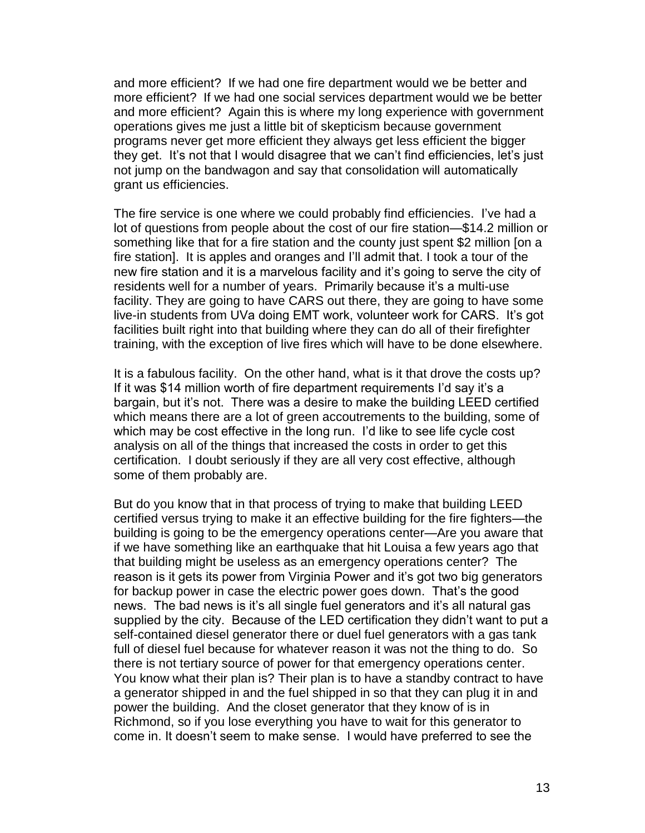and more efficient? If we had one fire department would we be better and more efficient? If we had one social services department would we be better and more efficient? Again this is where my long experience with government operations gives me just a little bit of skepticism because government programs never get more efficient they always get less efficient the bigger they get. It's not that I would disagree that we can't find efficiencies, let's just not jump on the bandwagon and say that consolidation will automatically grant us efficiencies.

The fire service is one where we could probably find efficiencies. I've had a lot of questions from people about the cost of our fire station—\$14.2 million or something like that for a fire station and the county just spent \$2 million [on a fire station]. It is apples and oranges and I'll admit that. I took a tour of the new fire station and it is a marvelous facility and it's going to serve the city of residents well for a number of years. Primarily because it's a multi-use facility. They are going to have CARS out there, they are going to have some live-in students from UVa doing EMT work, volunteer work for CARS. It's got facilities built right into that building where they can do all of their firefighter training, with the exception of live fires which will have to be done elsewhere.

It is a fabulous facility. On the other hand, what is it that drove the costs up? If it was \$14 million worth of fire department requirements I'd say it's a bargain, but it's not. There was a desire to make the building LEED certified which means there are a lot of green accoutrements to the building, some of which may be cost effective in the long run. I'd like to see life cycle cost analysis on all of the things that increased the costs in order to get this certification. I doubt seriously if they are all very cost effective, although some of them probably are.

But do you know that in that process of trying to make that building LEED certified versus trying to make it an effective building for the fire fighters—the building is going to be the emergency operations center—Are you aware that if we have something like an earthquake that hit Louisa a few years ago that that building might be useless as an emergency operations center? The reason is it gets its power from Virginia Power and it's got two big generators for backup power in case the electric power goes down. That's the good news. The bad news is it's all single fuel generators and it's all natural gas supplied by the city. Because of the LED certification they didn't want to put a self-contained diesel generator there or duel fuel generators with a gas tank full of diesel fuel because for whatever reason it was not the thing to do. So there is not tertiary source of power for that emergency operations center. You know what their plan is? Their plan is to have a standby contract to have a generator shipped in and the fuel shipped in so that they can plug it in and power the building. And the closet generator that they know of is in Richmond, so if you lose everything you have to wait for this generator to come in. It doesn't seem to make sense. I would have preferred to see the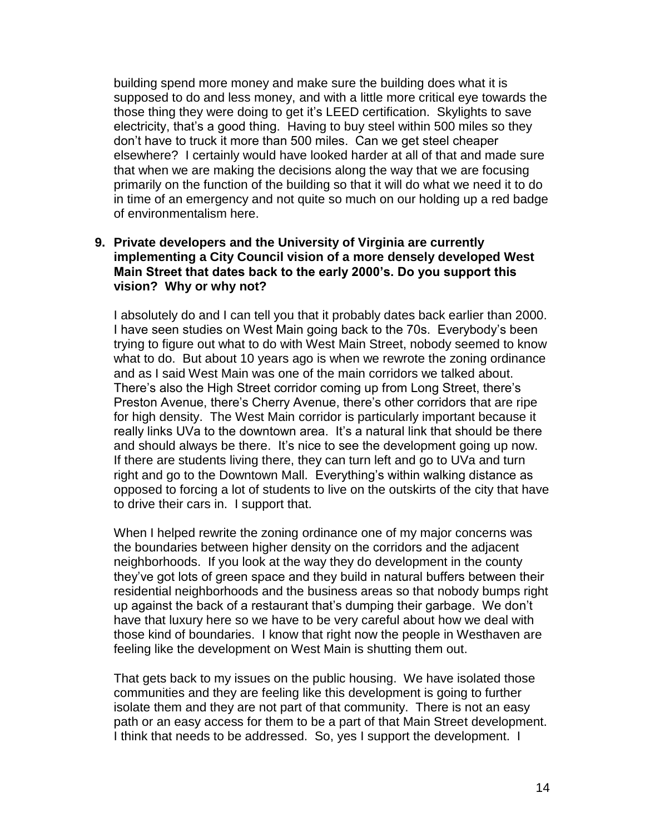building spend more money and make sure the building does what it is supposed to do and less money, and with a little more critical eye towards the those thing they were doing to get it's LEED certification. Skylights to save electricity, that's a good thing. Having to buy steel within 500 miles so they don't have to truck it more than 500 miles. Can we get steel cheaper elsewhere? I certainly would have looked harder at all of that and made sure that when we are making the decisions along the way that we are focusing primarily on the function of the building so that it will do what we need it to do in time of an emergency and not quite so much on our holding up a red badge of environmentalism here.

# **9. Private developers and the University of Virginia are currently implementing a City Council vision of a more densely developed West Main Street that dates back to the early 2000's. Do you support this vision? Why or why not?**

I absolutely do and I can tell you that it probably dates back earlier than 2000. I have seen studies on West Main going back to the 70s. Everybody's been trying to figure out what to do with West Main Street, nobody seemed to know what to do. But about 10 years ago is when we rewrote the zoning ordinance and as I said West Main was one of the main corridors we talked about. There's also the High Street corridor coming up from Long Street, there's Preston Avenue, there's Cherry Avenue, there's other corridors that are ripe for high density. The West Main corridor is particularly important because it really links UVa to the downtown area. It's a natural link that should be there and should always be there. It's nice to see the development going up now. If there are students living there, they can turn left and go to UVa and turn right and go to the Downtown Mall. Everything's within walking distance as opposed to forcing a lot of students to live on the outskirts of the city that have to drive their cars in. I support that.

When I helped rewrite the zoning ordinance one of my major concerns was the boundaries between higher density on the corridors and the adjacent neighborhoods. If you look at the way they do development in the county they've got lots of green space and they build in natural buffers between their residential neighborhoods and the business areas so that nobody bumps right up against the back of a restaurant that's dumping their garbage. We don't have that luxury here so we have to be very careful about how we deal with those kind of boundaries. I know that right now the people in Westhaven are feeling like the development on West Main is shutting them out.

That gets back to my issues on the public housing. We have isolated those communities and they are feeling like this development is going to further isolate them and they are not part of that community. There is not an easy path or an easy access for them to be a part of that Main Street development. I think that needs to be addressed. So, yes I support the development. I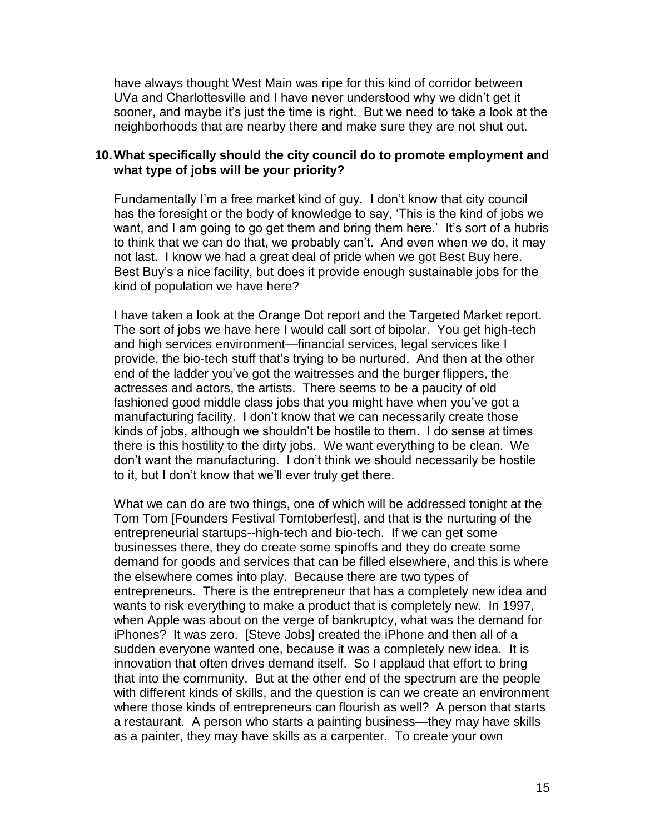have always thought West Main was ripe for this kind of corridor between UVa and Charlottesville and I have never understood why we didn't get it sooner, and maybe it's just the time is right. But we need to take a look at the neighborhoods that are nearby there and make sure they are not shut out.

#### **10.What specifically should the city council do to promote employment and what type of jobs will be your priority?**

Fundamentally I'm a free market kind of guy. I don't know that city council has the foresight or the body of knowledge to say, 'This is the kind of jobs we want, and I am going to go get them and bring them here.' It's sort of a hubris to think that we can do that, we probably can't. And even when we do, it may not last. I know we had a great deal of pride when we got Best Buy here. Best Buy's a nice facility, but does it provide enough sustainable jobs for the kind of population we have here?

I have taken a look at the Orange Dot report and the Targeted Market report. The sort of jobs we have here I would call sort of bipolar. You get high-tech and high services environment—financial services, legal services like I provide, the bio-tech stuff that's trying to be nurtured. And then at the other end of the ladder you've got the waitresses and the burger flippers, the actresses and actors, the artists. There seems to be a paucity of old fashioned good middle class jobs that you might have when you've got a manufacturing facility. I don't know that we can necessarily create those kinds of jobs, although we shouldn't be hostile to them. I do sense at times there is this hostility to the dirty jobs. We want everything to be clean. We don't want the manufacturing. I don't think we should necessarily be hostile to it, but I don't know that we'll ever truly get there.

What we can do are two things, one of which will be addressed tonight at the Tom Tom [Founders Festival Tomtoberfest], and that is the nurturing of the entrepreneurial startups--high-tech and bio-tech. If we can get some businesses there, they do create some spinoffs and they do create some demand for goods and services that can be filled elsewhere, and this is where the elsewhere comes into play. Because there are two types of entrepreneurs. There is the entrepreneur that has a completely new idea and wants to risk everything to make a product that is completely new. In 1997, when Apple was about on the verge of bankruptcy, what was the demand for iPhones? It was zero. [Steve Jobs] created the iPhone and then all of a sudden everyone wanted one, because it was a completely new idea. It is innovation that often drives demand itself. So I applaud that effort to bring that into the community. But at the other end of the spectrum are the people with different kinds of skills, and the question is can we create an environment where those kinds of entrepreneurs can flourish as well? A person that starts a restaurant. A person who starts a painting business—they may have skills as a painter, they may have skills as a carpenter. To create your own